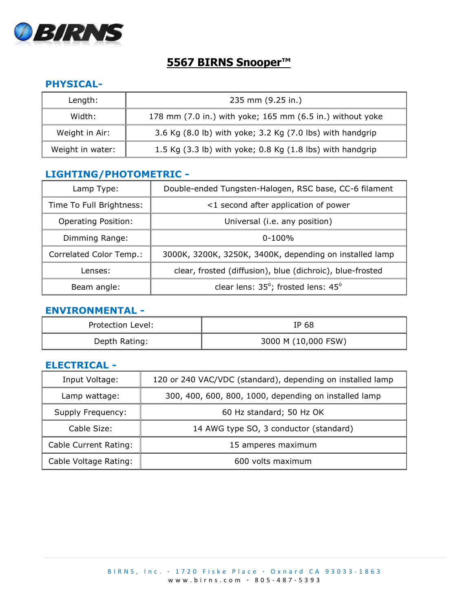

# **5567 BIRNS Snooper™**

## **PHYSICAL-**

| Length:          | 235 mm (9.25 in.)                                         |
|------------------|-----------------------------------------------------------|
| Width:           | 178 mm (7.0 in.) with yoke; 165 mm (6.5 in.) without yoke |
| Weight in Air:   | 3.6 Kg (8.0 lb) with yoke; 3.2 Kg (7.0 lbs) with handgrip |
| Weight in water: | 1.5 Kg (3.3 lb) with yoke; 0.8 Kg (1.8 lbs) with handgrip |

## **LIGHTING/PHOTOMETRIC -**

| Lamp Type:                 | Double-ended Tungsten-Halogen, RSC base, CC-6 filament    |
|----------------------------|-----------------------------------------------------------|
| Time To Full Brightness:   | <1 second after application of power                      |
| <b>Operating Position:</b> | Universal (i.e. any position)                             |
| Dimming Range:             | $0 - 100\%$                                               |
| Correlated Color Temp.:    | 3000K, 3200K, 3250K, 3400K, depending on installed lamp   |
| Lenses:                    | clear, frosted (diffusion), blue (dichroic), blue-frosted |
| Beam angle:                | clear lens: 35°; frosted lens: 45°                        |

#### **ENVIRONMENTAL -**

| Protection Level: | IP 68               |
|-------------------|---------------------|
| Depth Rating:     | 3000 M (10,000 FSW) |

### **ELECTRICAL -**

| Input Voltage:        | 120 or 240 VAC/VDC (standard), depending on installed lamp |
|-----------------------|------------------------------------------------------------|
| Lamp wattage:         | 300, 400, 600, 800, 1000, depending on installed lamp      |
| Supply Frequency:     | 60 Hz standard; 50 Hz OK                                   |
| Cable Size:           | 14 AWG type SO, 3 conductor (standard)                     |
| Cable Current Rating: | 15 amperes maximum                                         |
| Cable Voltage Rating: | 600 volts maximum                                          |